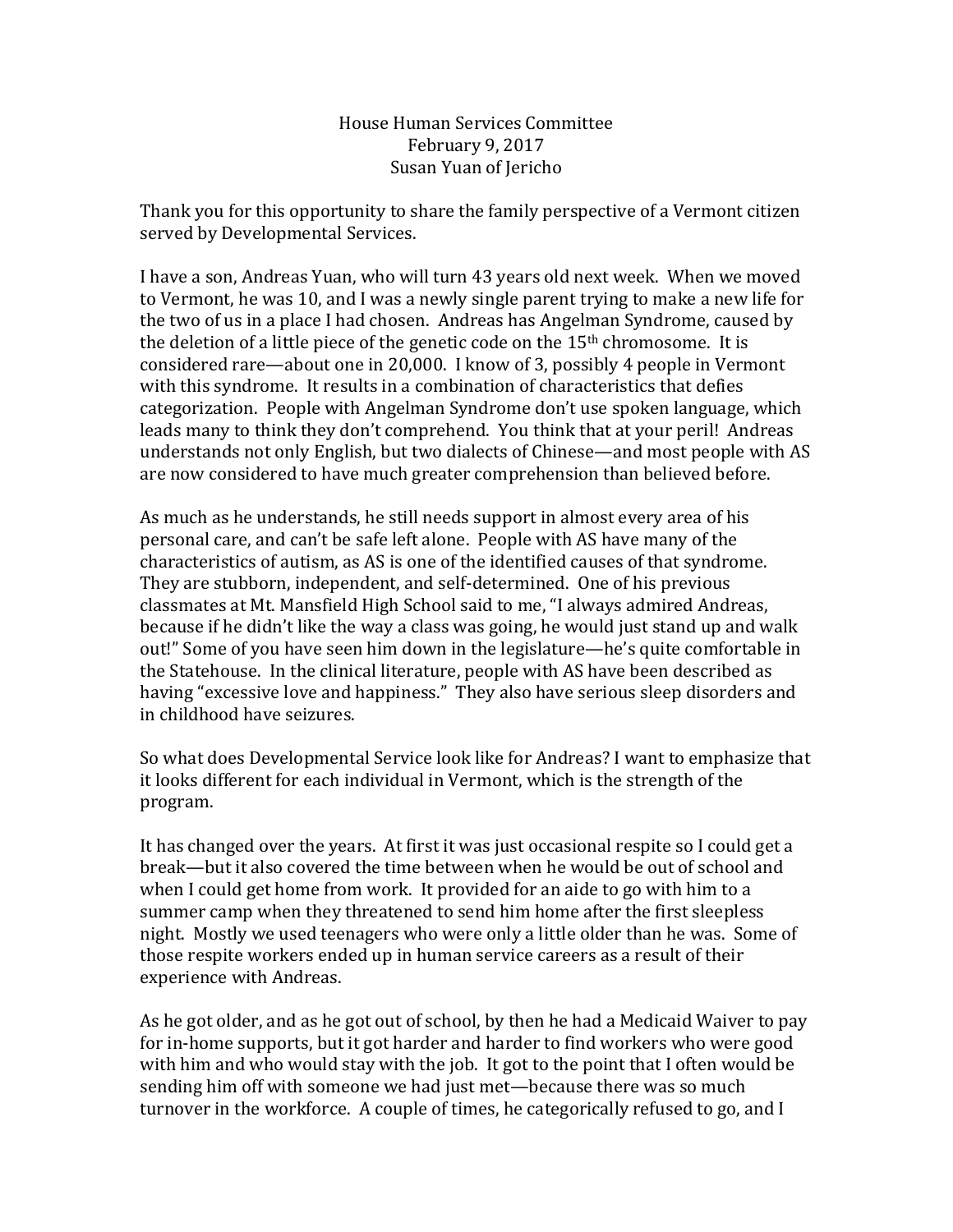House Human Services Committee February 9, 2017 Susan Yuan of Jericho

Thank you for this opportunity to share the family perspective of a Vermont citizen served by Developmental Services.

I have a son, Andreas Yuan, who will turn 43 years old next week. When we moved to Vermont, he was 10, and I was a newly single parent trying to make a new life for the two of us in a place I had chosen. Andreas has Angelman Syndrome, caused by the deletion of a little piece of the genetic code on the  $15<sup>th</sup>$  chromosome. It is considered rare—about one in 20,000. I know of 3, possibly 4 people in Vermont with this syndrome. It results in a combination of characteristics that defies categorization. People with Angelman Syndrome don't use spoken language, which leads many to think they don't comprehend. You think that at your peril! Andreas understands not only English, but two dialects of Chinese—and most people with AS are now considered to have much greater comprehension than believed before.

As much as he understands, he still needs support in almost every area of his personal care, and can't be safe left alone. People with AS have many of the characteristics of autism, as AS is one of the identified causes of that syndrome. They are stubborn, independent, and self-determined. One of his previous classmates at Mt. Mansfield High School said to me, "I always admired Andreas, because if he didn't like the way a class was going, he would just stand up and walk out!" Some of you have seen him down in the legislature—he's quite comfortable in the Statehouse. In the clinical literature, people with AS have been described as having "excessive love and happiness." They also have serious sleep disorders and in childhood have seizures.

So what does Developmental Service look like for Andreas? I want to emphasize that it looks different for each individual in Vermont, which is the strength of the program.

It has changed over the years. At first it was just occasional respite so I could get a break—but it also covered the time between when he would be out of school and when I could get home from work. It provided for an aide to go with him to a summer camp when they threatened to send him home after the first sleepless night. Mostly we used teenagers who were only a little older than he was. Some of those respite workers ended up in human service careers as a result of their experience with Andreas.

As he got older, and as he got out of school, by then he had a Medicaid Waiver to pay for in-home supports, but it got harder and harder to find workers who were good with him and who would stay with the job. It got to the point that I often would be sending him off with someone we had just met—because there was so much turnover in the workforce. A couple of times, he categorically refused to go, and I